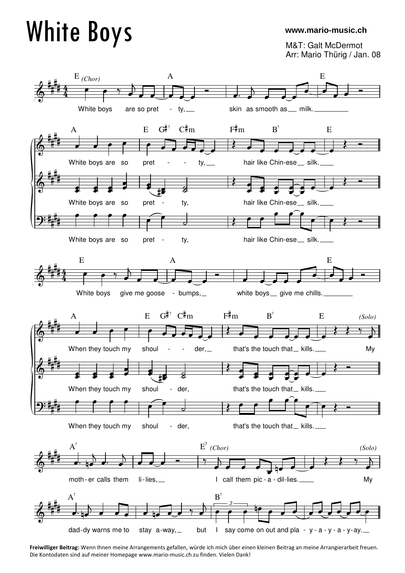## White Boys

## **www.mario-music.ch**

M&T: Galt McDermot Arr: Mario Thürig / Jan. 08



**Freiwilliger Beitrag:** Wenn Ihnen meine Arrangements gefallen, würde ich mich über einen kleinen Beitrag an meine Arrangierarbeit freuen. Die Kontodaten sind auf meiner Homepage www.mario-music.ch zu finden. Vielen Dank!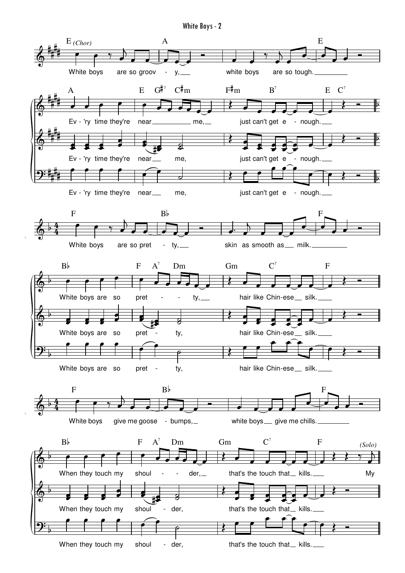White Boys - 2